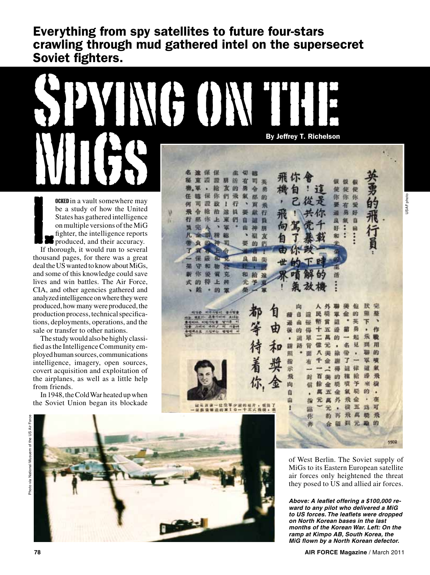## Everything from spy satellites to future four-stars crawling through mud gathered intel on the supersecret Soviet fighters.

WGON '

ocked in a vault somewhere may be a study of how the United States has gathered intelligence on multiple versions of the MiG fighter, the intelligence reports produced, and their accuracy. If thorough, it would run to several thousand pages, for there was a great deal the US wanted to know about MiGs, and some of this knowledge could save lives and win battles. The Air Force, CIA, and other agencies gathered and analyzed intelligence on where they were produced, how many were produced, the production process, technical specifica-Let the Lift the Life of Life and Life and Life and Life and Life and Life and Life and Life and Life and Life and Life and Life and Life and Life and Life and Life and Life and Life and Life and Life and Life and Life and

MiGs

sale or transfer to other nations. The study would also be highly classified as the Intelligence Community employed human sources, communications intelligence, imagery, open sources, covert acquisition and exploitation of the airplanes, as well as a little help from friends.

tions, deployments, operations, and the

In 1948, the Cold War heated up when the Soviet Union began its blockade

| 名速保保<br>凖                               | w<br>腰      |    | 飛你會    |                           |        |             |                          |             |                   |
|-----------------------------------------|-------------|----|--------|---------------------------|--------|-------------|--------------------------|-------------|-------------------|
| 豱<br>79<br>朋<br>語                       | 有<br>岑<br>司 |    |        |                           |        |             | 醍                        | 假           |                   |
| 巒.<br>單<br>詥<br>友<br>的<br>٠             | 骟<br>舎<br>勇 | 機  | 自      |                           | jĨ     | 便           | 便                        | 使           |                   |
| 你<br>任<br>録<br>們<br>飛                   | 龥<br>邵<br>的 |    |        | 己從是                       |        | 你           | 你                        | 你           |                   |
| 何<br>證<br>殴<br>行<br>w<br>ı              | π<br>飛      |    |        |                           |        |             | 有                        | 蹙           | 55                |
| 飛<br>詥<br>治<br>令<br>闼                   | 行<br>ę,     | 报  |        |                           |        |             | 鴉                        | 酑           |                   |
| 行<br>桃<br>Ŀ<br>靐<br>瞿                   | 自<br>嶯      |    |        |                           |        | 良           | 龥                        | 自           |                   |
| 蝜<br>症<br>ш                             | 由<br>朋<br>神 | 句  | 駕      | $\overline{\mathbf{H}}$ . |        | 好           | н                        | 田           |                   |
| 凡<br>s.<br>精<br>zи<br>ë                 | ۶<br>龃<br>友 | 訇  |        |                           |        | 和           |                          | ÷<br>٠      |                   |
| 食 的一种<br>ш<br>爾                         | 要<br>的<br>眉 |    |        |                           |        | 歨           |                          | ٠           |                   |
| т<br>90                                 |             | 53 |        |                           |        |             |                          |             | z                 |
| 僫<br>ے<br>和<br>37                       | 良<br>曲<br>瑯 |    |        |                           | œ      |             |                          |             |                   |
| ÷<br>RΟ<br>要<br>to.                     | e for       |    |        |                           |        | 醒           |                          |             |                   |
| 你<br>寛<br>w                             | 和<br>給<br>道 |    |        |                           | 65     | 涽           |                          |             |                   |
| 式<br>的<br>秤<br>Œ<br>齃                   | 光<br>æ      |    |        |                           | 烈放機    | ።           |                          |             |                   |
| 、姓<br>٠<br>的<br>策                       | 蚕           |    |        |                           |        |             |                          |             |                   |
|                                         |             |    |        |                           |        |             |                          |             |                   |
|                                         |             |    |        |                           |        |             |                          |             |                   |
|                                         |             |    | 向      |                           | 外<br>ᄾ |             | 褑                        | 榧           | 狀<br>完            |
| side alevant ever<br>41. 121. 上書川村川 東北社 |             | 旬  | 自      | 讀                         | 民<br>源 |             | 金                        | 的           | 彌<br>憨            |
| 통원이다. 이리가방을 알기온 이<br>us year out of use |             |    | 曲<br>逋 | 張                         | 噡<br>Ħ | 調           |                          | 英           | т<br>٠            |
| 유엔복조로 조망하는 방법이 <b>서</b><br><b>Net:</b>  |             | 田  | 後<br>的 | 傳                         | ÷<br>五 | 纋           | 溺                        | 覇           | 作<br>,            |
|                                         |             |    | 逍<br>٠ | 單                         |        | 的<br>щ      | $\overline{\phantom{a}}$ | 魁           | 氘<br>最            |
|                                         |             | 力  | 路<br>翻 | 背                         | 偃<br>π |             | 名                        | 見           | 用<br>劅            |
|                                         |             |    | 駰<br>٠ | 面                         | л      | 絵<br>崋      | 带                        | ä           | 的<br>珊            |
|                                         |             |    | 指      | 有                         | T      | K.          | r                        | <b>Sunk</b> | 诹<br>暧            |
|                                         |             |    | 示      | فتعا                      |        | 栂           | 誀                        | 秫           | 氣<br>锢            |
|                                         |             |    | 飛      | 對                         | 直      | 时           | 雅                        | 給           | 缈<br>飛            |
|                                         | 你,          | 全  | 向      | 偏                         | 餘      | 4<br>駿      | 瓆                        | 乎           | 楹<br>寮            |
|                                         |             |    | 自      |                           | 靍      | 金<br>五      | 氧                        | 騠           | 的<br>٠            |
| 这是浪漫一位空军少尉的桓月, 便当了                      |             |    | 曲      | 指                         | アじ     | 外<br>蓝      | 飛                        | 슢           | 准                 |
| 一架数数则造的第10一十五式最强,乘                      |             |    | ı      | 點<br>你                    |        | 元<br>再<br>約 | 徙<br>飛                   | 五<br>д      | 可<br>13<br>飛<br>糠 |

By Jeffrey T. Richelson





of West Berlin. The Soviet supply of MiGs to its Eastern European satellite air forces only heightened the threat they posed to US and allied air forces.

5502

USAF photoJSAF photo

*Above: A leaflet offering a \$100,000 reward to any pilot who delivered a MiG to US forces. The leaflets were dropped on North Korean bases in the last months of the Korean War. Left: On the ramp at Kimpo AB, South Korea, the MiG flown by a North Korean defector.*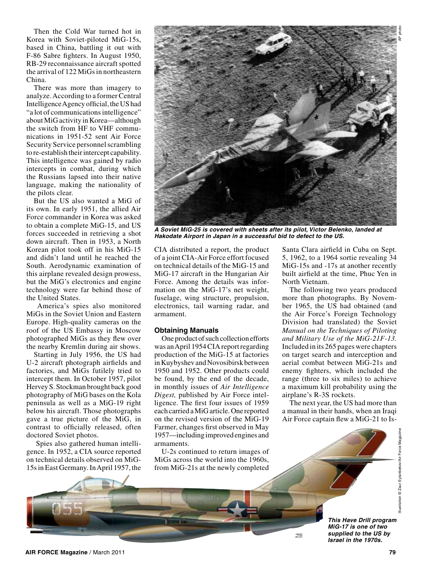Then the Cold War turned hot in Korea with Soviet-piloted MiG-15s, based in China, battling it out with F-86 Sabre fighters. In August 1950, RB-29 reconnaissance aircraft spotted the arrival of 122 MiGs in northeastern China.

There was more than imagery to analyze. According to a former Central Intelligence Agency official, the US had "a lot of communications intelligence" about MiG activity in Korea—although the switch from HF to VHF communications in 1951-52 sent Air Force Security Service personnel scrambling to re-establish their intercept capability. This intelligence was gained by radio intercepts in combat, during which the Russians lapsed into their native language, making the nationality of the pilots clear.

But the US also wanted a MiG of its own. In early 1951, the allied Air Force commander in Korea was asked to obtain a complete MiG-15, and US forces succeeded in retrieving a shot down aircraft. Then in 1953, a North Korean pilot took off in his MiG-15 and didn't land until he reached the South. Aerodynamic examination of this airplane revealed design prowess, but the MiG's electronics and engine technology were far behind those of the United States.

 America's spies also monitored MiGs in the Soviet Union and Eastern Europe. High-quality cameras on the roof of the US Embassy in Moscow photographed MiGs as they flew over the nearby Kremlin during air shows.

Starting in July 1956, the US had U-2 aircraft photograph airfields and factories, and MiGs futilely tried to intercept them. In October 1957, pilot Hervey S. Stockman brought back good photography of MiG bases on the Kola peninsula as well as a MiG-19 right below his aircraft. Those photographs gave a true picture of the MiG, in contrast to officially released, often doctored Soviet photos.

 Spies also gathered human intelligence. In 1952, a CIA source reported on technical details observed on MiG-15s in East Germany. In April 1957, the



*A Soviet MiG-25 is covered with sheets after its pilot, Victor Belenko, landed at Hakodate Airport in Japan in a successful bid to defect to the US.*

CIA distributed a report, the product of a joint CIA-Air Force effort focused on technical details of the MiG-15 and MiG-17 aircraft in the Hungarian Air Force. Among the details was information on the MiG-17's net weight, fuselage, wing structure, propulsion, electronics, tail warning radar, and armament.

## **Obtaining Manuals**

One product of such collection efforts was an April 1954 CIA report regarding production of the MiG-15 at factories in Kuybyshev and Novosibirsk between 1950 and 1952. Other products could be found, by the end of the decade, in monthly issues of *Air Intelligence Digest,* published by Air Force intelligence. The first four issues of 1959 each carried a MiG article. One reported on the revised version of the MiG-19 Farmer, changes first observed in May 1957—including improved engines and armaments.

U-2s continued to return images of MiGs across the world into the 1960s, from MiG-21s at the newly completed

Santa Clara airfield in Cuba on Sept. 5, 1962, to a 1964 sortie revealing 34 MiG-15s and -17s at another recently built airfield at the time, Phuc Yen in North Vietnam.

The following two years produced more than photographs. By November 1965, the US had obtained (and the Air Force's Foreign Technology Division had translated) the Soviet *Manual on the Techniques of Piloting and Military Use of the MiG-21F-13.* Included in its 265 pages were chapters on target search and interception and aerial combat between MiG-21s and enemy fighters, which included the range (three to six miles) to achieve a maximum kill probability using the airplane's R-3S rockets.

The next year, the US had more than a manual in their hands, when an Iraqi Air Force captain flew a MiG-21 to Is-

> *This Have Drill program MiG-17 is one of two supplied to the US by*

*Israel in the 1970s.*

79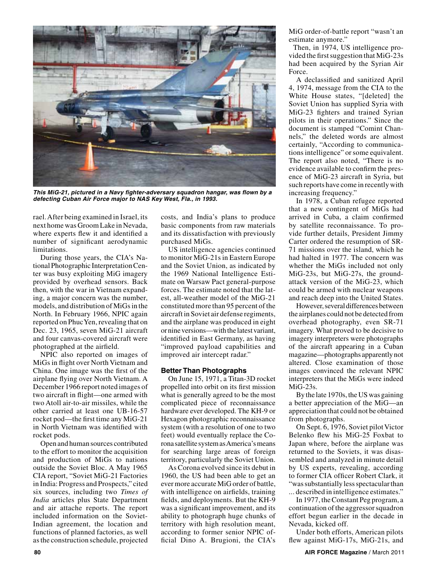

*This MiG-21, pictured in a Navy fighter-adversary squadron hangar, was flown by a defecting Cuban Air Force major to NAS Key West, Fla., in 1993.*

rael. After being examined in Israel, its next home was Groom Lake in Nevada, where experts flew it and identified a number of significant aerodynamic limitations.

During those years, the CIA's National Photographic Interpretation Center was busy exploiting MiG imagery provided by overhead sensors. Back then, with the war in Vietnam expanding, a major concern was the number, models, and distribution of MiGs in the North. In February 1966, NPIC again reported on Phuc Yen, revealing that on Dec. 23, 1965, seven MiG-21 aircraft and four canvas-covered aircraft were photographed at the airfield.

NPIC also reported on images of MiGs in flight over North Vietnam and China. One image was the first of the airplane flying over North Vietnam. A December 1966 report noted images of two aircraft in flight—one armed with two Atoll air-to-air missiles, while the other carried at least one UB-16-57 rocket pod—the first time any MiG-21 in North Vietnam was identified with rocket pods.

Open and human sources contributed to the effort to monitor the acquisition and production of MiGs to nations outside the Soviet Bloc. A May 1965 CIA report, "Soviet MiG-21 Factories in India: Progress and Prospects," cited six sources, including two *Times of India* articles plus State Department and air attache reports. The report included information on the Soviet-Indian agreement, the location and functions of planned factories, as well as the construction schedule, projected

costs, and India's plans to produce basic components from raw materials and its dissatisfaction with previously purchased MiGs.

US intelligence agencies continued to monitor MiG-21s in Eastern Europe and the Soviet Union, as indicated by the 1969 National Intelligence Estimate on Warsaw Pact general-purpose forces. The estimate noted that the latest, all-weather model of the MiG-21 constituted more than 95 percent of the aircraft in Soviet air defense regiments, and the airplane was produced in eight or nine versions—with the latest variant, identified in East Germany, as having "improved payload capabilities and improved air intercept radar."

## **Better Than Photographs**

On June 15, 1971, a Titan-3D rocket propelled into orbit on its first mission what is generally agreed to be the most complicated piece of reconnaissance hardware ever developed. The KH-9 or Hexagon photographic reconnaissance system (with a resolution of one to two feet) would eventually replace the Corona satellite system as America's means for searching large areas of foreign territory, particularly the Soviet Union.

As Corona evolved since its debut in 1960, the US had been able to get an ever more accurate MiG order of battle, with intelligence on airfields, training fields, and deployments. But the KH-9 was a significant improvement, and its ability to photograph huge chunks of territory with high resolution meant, according to former senior NPIC official Dino A. Brugioni, the CIA's

MiG order-of-battle report "wasn't an estimate anymore."

 Then, in 1974, US intelligence provided the first suggestion that MiG-23s had been acquired by the Syrian Air Force.

A declassified and sanitized April 4, 1974, message from the CIA to the White House states, "[deleted] the Soviet Union has supplied Syria with MiG-23 fighters and trained Syrian pilots in their operations." Since the document is stamped "Comint Channels," the deleted words are almost certainly, "According to communications intelligence" or some equivalent. The report also noted, "There is no evidence available to confirm the presence of MiG-23 aircraft in Syria, but such reports have come in recently with increasing frequency."

In 1978, a Cuban refugee reported that a new contingent of MiGs had arrived in Cuba, a claim confirmed by satellite reconnaissance. To provide further details, President Jimmy Carter ordered the resumption of SR-71 missions over the island, which he had halted in 1977. The concern was whether the MiGs included not only MiG-23s, but MiG-27s, the groundattack version of the MiG-23, which could be armed with nuclear weapons and reach deep into the United States.

However, several differences between the airplanes could not be detected from overhead photography, even SR-71 imagery. What proved to be decisive to imagery interpreters were photographs of the aircraft appearing in a Cuban magazine—photographs apparently not altered. Close examination of those images convinced the relevant NPIC interpreters that the MiGs were indeed MiG-23s.

By the late 1970s, the US was gaining a better appreciation of the MiG—an appreciation that could not be obtained from photographs.

On Sept. 6, 1976, Soviet pilot Victor Belenko flew his MiG-25 Foxbat to Japan where, before the airplane was returned to the Soviets, it was disassembled and analyzed in minute detail by US experts, revealing, according to former CIA officer Robert Clark, it "was substantially less spectacular than ... described in intelligence estimates."

In 1977, the Constant Peg program, a continuation of the aggressor squadron effort begun earlier in the decade in Nevada, kicked off.

Under both efforts, American pilots flew against MiG-17s, MiG-21s, and